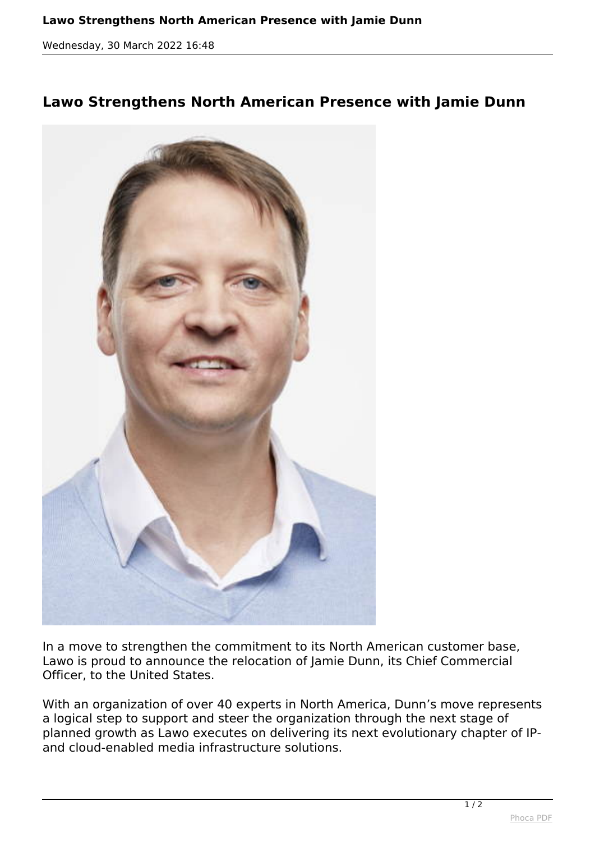*Wednesday, 30 March 2022 16:48*

## **Lawo Strengthens North American Presence with Jamie Dunn**



*In a move to strengthen the commitment to its North American customer base, Lawo is proud to announce the relocation of Jamie Dunn, its Chief Commercial Officer, to the United States.*

*With an organization of over 40 experts in North America, Dunn's move represents a logical step to support and steer the organization through the next stage of planned growth as Lawo executes on delivering its next evolutionary chapter of IPand cloud-enabled media infrastructure solutions.*